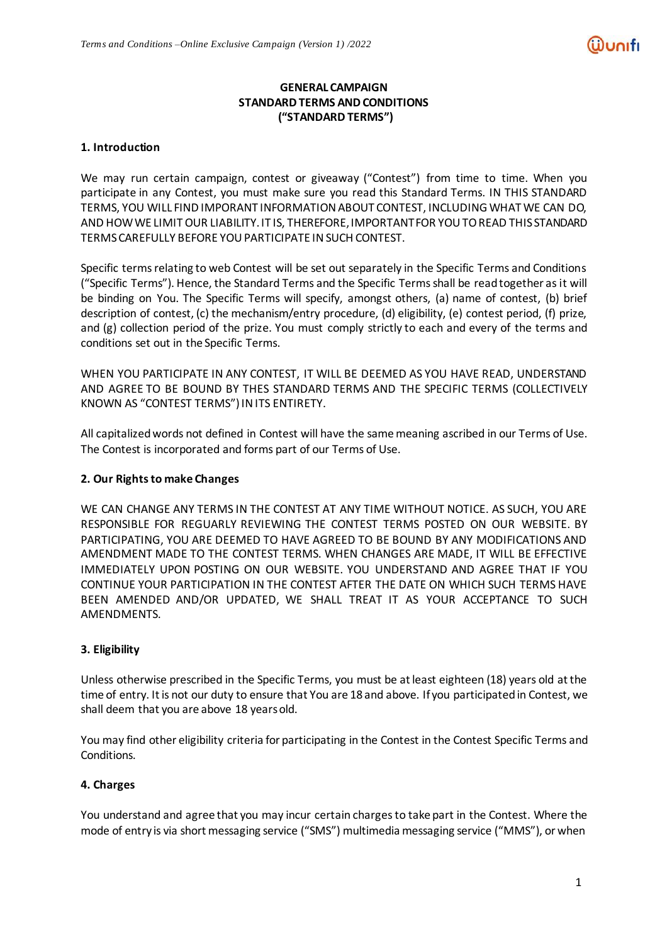# **GENERAL CAMPAIGN STANDARD TERMS AND CONDITIONS ("STANDARD TERMS")**

# **1. Introduction**

We may run certain campaign, contest or giveaway ("Contest") from time to time. When you participate in any Contest, you must make sure you read this Standard Terms. IN THIS STANDARD TERMS, YOU WILL FIND IMPORANT INFORMATION ABOUT CONTEST, INCLUDING WHAT WE CAN DO, AND HOWWE LIMITOUR LIABILITY.IT IS, THEREFORE,IMPORTANTFOR YOUTOREAD THIS STANDARD TERMSCAREFULLY BEFORE YOUPARTICIPATE INSUCH CONTEST.

Specific terms relating to web Contest will be set out separately in the Specific Terms and Conditions ("Specific Terms"). Hence, the Standard Terms and the Specific Terms shall be read together as it will be binding on You. The Specific Terms will specify, amongst others, (a) name of contest, (b) brief description of contest, (c) the mechanism/entry procedure, (d) eligibility, (e) contest period, (f) prize, and (g) collection period of the prize. You must comply strictly to each and every of the terms and conditions set out in the Specific Terms.

WHEN YOU PARTICIPATE IN ANY CONTEST, IT WILL BE DEEMED AS YOU HAVE READ, UNDERSTAND AND AGREE TO BE BOUND BY THES STANDARD TERMS AND THE SPECIFIC TERMS (COLLECTIVELY KNOWN AS "CONTEST TERMS")INITS ENTIRETY.

All capitalizedwords not defined in Contest will have the samemeaning ascribed in our Terms of Use. The Contest is incorporated and forms part of our Terms of Use.

# **2. Our Rightsto make Changes**

WE CAN CHANGE ANY TERMS IN THE CONTEST AT ANY TIME WITHOUT NOTICE. AS SUCH, YOU ARE RESPONSIBLE FOR REGUARLY REVIEWING THE CONTEST TERMS POSTED ON OUR WEBSITE. BY PARTICIPATING, YOU ARE DEEMED TO HAVE AGREED TO BE BOUND BY ANY MODIFICATIONS AND AMENDMENT MADE TO THE CONTEST TERMS. WHEN CHANGES ARE MADE, IT WILL BE EFFECTIVE IMMEDIATELY UPON POSTING ON OUR WEBSITE. YOU UNDERSTAND AND AGREE THAT IF YOU CONTINUE YOUR PARTICIPATION IN THE CONTEST AFTER THE DATE ON WHICH SUCH TERMS HAVE BEEN AMENDED AND/OR UPDATED, WE SHALL TREAT IT AS YOUR ACCEPTANCE TO SUCH AMENDMENTS.

# **3. Eligibility**

Unless otherwise prescribed in the Specific Terms, you must be at least eighteen (18) years old at the time of entry. Itis not our duty to ensure that You are 18 and above. If you participated in Contest, we shall deem that you are above 18 yearsold.

You may find other eligibility criteria for participating in the Contest in the Contest Specific Terms and Conditions.

# **4. Charges**

You understand and agree that you may incur certain charges to take part in the Contest. Where the mode of entry is via short messaging service ("SMS") multimedia messaging service ("MMS"), or when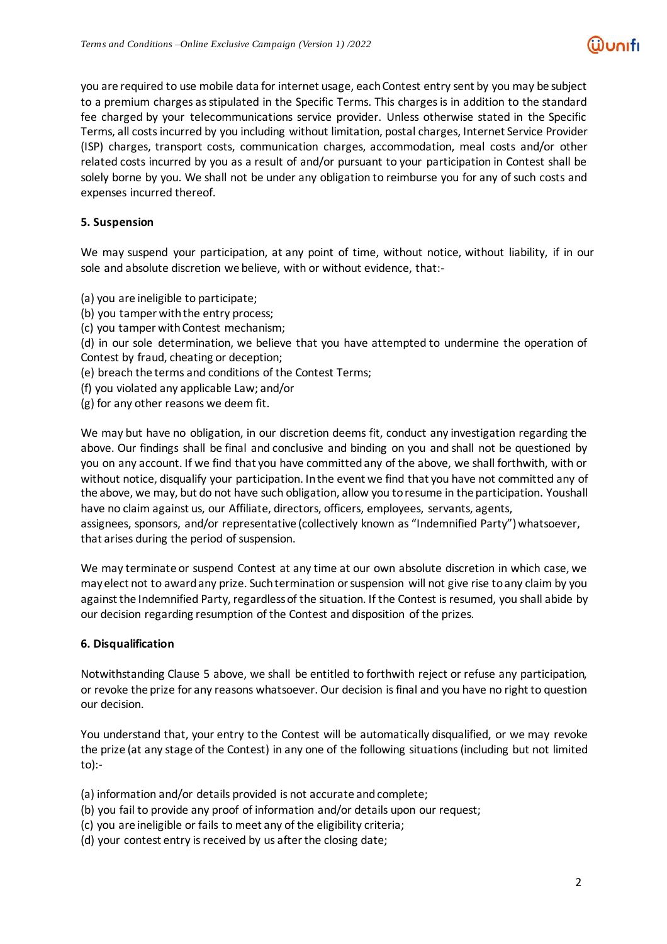you are required to use mobile data for internet usage, eachContest entry sent by you may be subject to a premium charges as stipulated in the Specific Terms. This charges is in addition to the standard fee charged by your telecommunications service provider. Unless otherwise stated in the Specific Terms, all costsincurred by you including without limitation, postal charges, Internet Service Provider (ISP) charges, transport costs, communication charges, accommodation, meal costs and/or other related costs incurred by you as a result of and/or pursuant to your participation in Contest shall be solely borne by you. We shall not be under any obligation to reimburse you for any of such costs and expenses incurred thereof.

# **5. Suspension**

We may suspend your participation, at any point of time, without notice, without liability, if in our sole and absolute discretion we believe, with or without evidence, that:-

- (a) you are ineligible to participate;
- (b) you tamper with the entry process;
- (c) you tamper with Contest mechanism;
- (d) in our sole determination, we believe that you have attempted to undermine the operation of Contest by fraud, cheating or deception;
- (e) breach the terms and conditions of the Contest Terms;
- (f) you violated any applicable Law; and/or
- (g) for any other reasons we deem fit.

We may but have no obligation, in our discretion deems fit, conduct any investigation regarding the above. Our findings shall be final and conclusive and binding on you and shall not be questioned by you on any account. If we find that you have committed any of the above, we shall forthwith, with or without notice, disqualify your participation. In the event we find that you have not committed any of the above, we may, but do not have such obligation, allow you to resume in the participation. Youshall have no claim against us, our Affiliate, directors, officers, employees, servants, agents,

assignees, sponsors, and/or representative (collectively known as "Indemnified Party") whatsoever, that arises during the period of suspension.

We may terminate or suspend Contest at any time at our own absolute discretion in which case, we mayelect not to awardany prize. Suchtermination orsuspension will not give rise toany claim by you against the Indemnified Party, regardless of the situation. If the Contest is resumed, you shall abide by our decision regarding resumption of the Contest and disposition of the prizes.

#### **6. Disqualification**

Notwithstanding Clause 5 above, we shall be entitled to forthwith reject or refuse any participation, or revoke the prize for any reasons whatsoever. Our decision isfinal and you have no right to question our decision.

You understand that, your entry to the Contest will be automatically disqualified, or we may revoke the prize (at any stage of the Contest) in any one of the following situations (including but not limited to):-

(a) information and/or details provided is not accurate andcomplete;

- (b) you fail to provide any proof of information and/or details upon our request;
- (c) you are ineligible or fails to meet any of the eligibility criteria;
- (d) your contest entry is received by us after the closing date;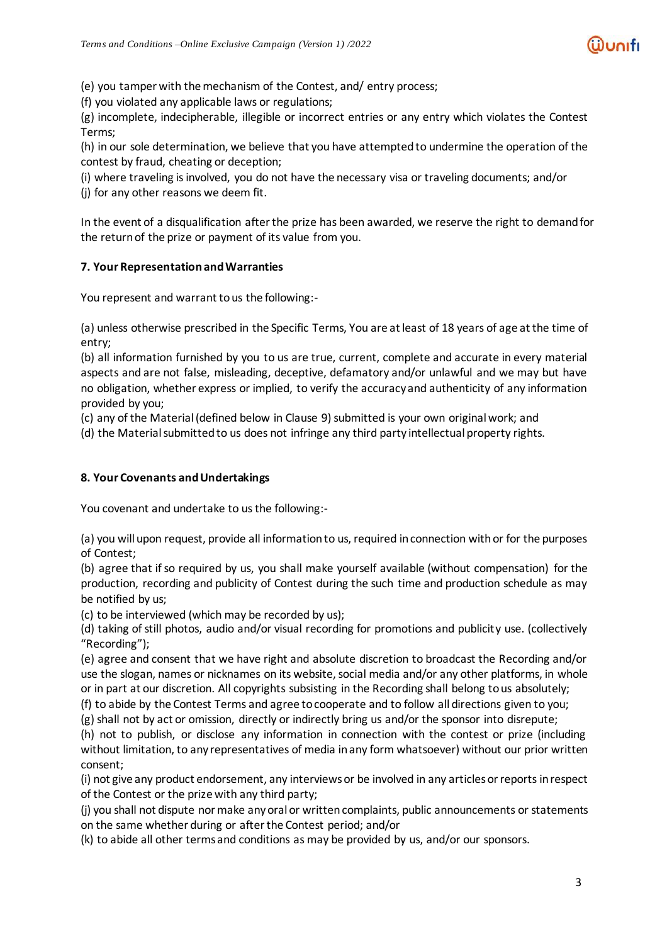(e) you tamper with themechanism of the Contest, and/ entry process;

(f) you violated any applicable laws or regulations;

(g) incomplete, indecipherable, illegible or incorrect entries or any entry which violates the Contest Terms;

(h) in our sole determination, we believe that you have attemptedto undermine the operation of the contest by fraud, cheating or deception;

(i) where traveling isinvolved, you do not have the necessary visa or traveling documents; and/or

(j) for any other reasons we deem fit.

In the event of a disqualification afterthe prize has been awarded, we reserve the right to demandfor the returnof the prize or payment of its value from you.

# **7. Your RepresentationandWarranties**

You represent and warrant to us the following:-

(a) unless otherwise prescribed in the Specific Terms, You are atleast of 18 years of age atthe time of entry;

(b) all information furnished by you to us are true, current, complete and accurate in every material aspects and are not false, misleading, deceptive, defamatory and/or unlawful and we may but have no obligation, whether express or implied, to verify the accuracy and authenticity of any information provided by you;

(c) any of the Material(defined below in Clause 9) submitted is your own originalwork; and

(d) the Material submitted to us does not infringe any third party intellectual property rights.

# **8. Your Covenants andUndertakings**

You covenant and undertake to us the following:-

(a) you willupon request, provide all informationto us, required inconnection withor for the purposes of Contest;

(b) agree that if so required by us, you shall make yourself available (without compensation) for the production, recording and publicity of Contest during the such time and production schedule as may be notified by us;

(c) to be interviewed (which may be recorded by us);

(d) taking of still photos, audio and/or visual recording for promotions and publicity use. (collectively "Recording");

(e) agree and consent that we have right and absolute discretion to broadcast the Recording and/or use the slogan, names or nicknames on its website, social media and/or any other platforms, in whole or in part at our discretion. All copyrights subsisting in the Recording shall belong to us absolutely;

(f) to abide by the Contest Terms and agree to cooperate and to follow all directions given to you;

(g) shall not by act or omission, directly or indirectly bring us and/or the sponsor into disrepute;

(h) not to publish, or disclose any information in connection with the contest or prize (including without limitation, to any representatives of media inany form whatsoever) without our prior written consent;

(i) not give any product endorsement, any interviewsor be involved in any articlesorreportsinrespect of the Contest or the prize with any third party;

(j) you shall not dispute normake anyoral or writtencomplaints, public announcements or statements on the same whether during or after the Contest period; and/or

(k) to abide all other termsand conditions as may be provided by us, and/or our sponsors.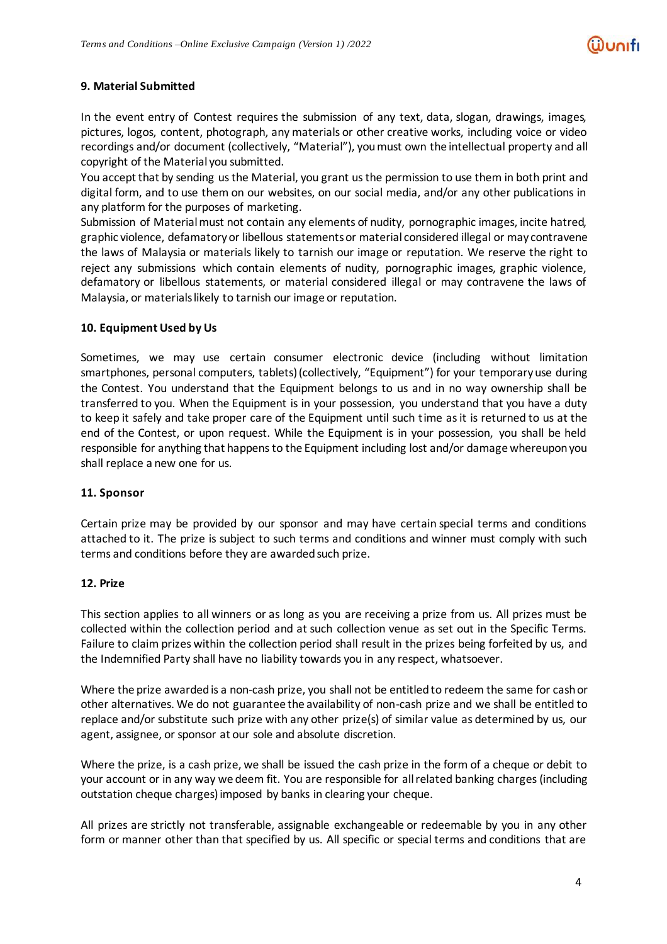# **9. Material Submitted**

In the event entry of Contest requires the submission of any text, data, slogan, drawings, images, pictures, logos, content, photograph, any materials or other creative works, including voice or video recordings and/or document (collectively, "Material"), youmust own the intellectual property and all copyright of the Material you submitted.

You accept that by sending usthe Material, you grant usthe permission to use them in both print and digital form, and to use them on our websites, on our social media, and/or any other publications in any platform for the purposes of marketing.

Submission of Material must not contain any elements of nudity, pornographic images, incite hatred, graphic violence, defamatoryor libellous statementsor material considered illegal or may contravene the laws of Malaysia or materials likely to tarnish our image or reputation. We reserve the right to reject any submissions which contain elements of nudity, pornographic images, graphic violence, defamatory or libellous statements, or material considered illegal or may contravene the laws of Malaysia, or materials likely to tarnish our image or reputation.

# **10. Equipment Used by Us**

Sometimes, we may use certain consumer electronic device (including without limitation smartphones, personal computers, tablets) (collectively, "Equipment") for your temporary use during the Contest. You understand that the Equipment belongs to us and in no way ownership shall be transferred to you. When the Equipment is in your possession, you understand that you have a duty to keep it safely and take proper care of the Equipment until such time as it is returned to us at the end of the Contest, or upon request. While the Equipment is in your possession, you shall be held responsible for anything that happensto the Equipment including lost and/or damage whereuponyou shall replace a new one for us.

#### **11. Sponsor**

Certain prize may be provided by our sponsor and may have certain special terms and conditions attached to it. The prize is subject to such terms and conditions and winner must comply with such terms and conditions before they are awarded such prize.

#### **12. Prize**

This section applies to all winners or as long as you are receiving a prize from us. All prizes must be collected within the collection period and at such collection venue as set out in the Specific Terms. Failure to claim prizes within the collection period shall result in the prizes being forfeited by us, and the Indemnified Party shall have no liability towards you in any respect, whatsoever.

Where the prize awardedis a non-cash prize, you shall not be entitledto redeem the same for cashor other alternatives. We do not guarantee the availability of non-cash prize and we shall be entitled to replace and/or substitute such prize with any other prize(s) of similar value as determined by us, our agent, assignee, or sponsor at our sole and absolute discretion.

Where the prize, is a cash prize, we shall be issued the cash prize in the form of a cheque or debit to your account or in any way we deem fit. You are responsible for allrelated banking charges(including outstation cheque charges)imposed by banks in clearing your cheque.

All prizes are strictly not transferable, assignable exchangeable or redeemable by you in any other form or manner other than that specified by us. All specific or special terms and conditions that are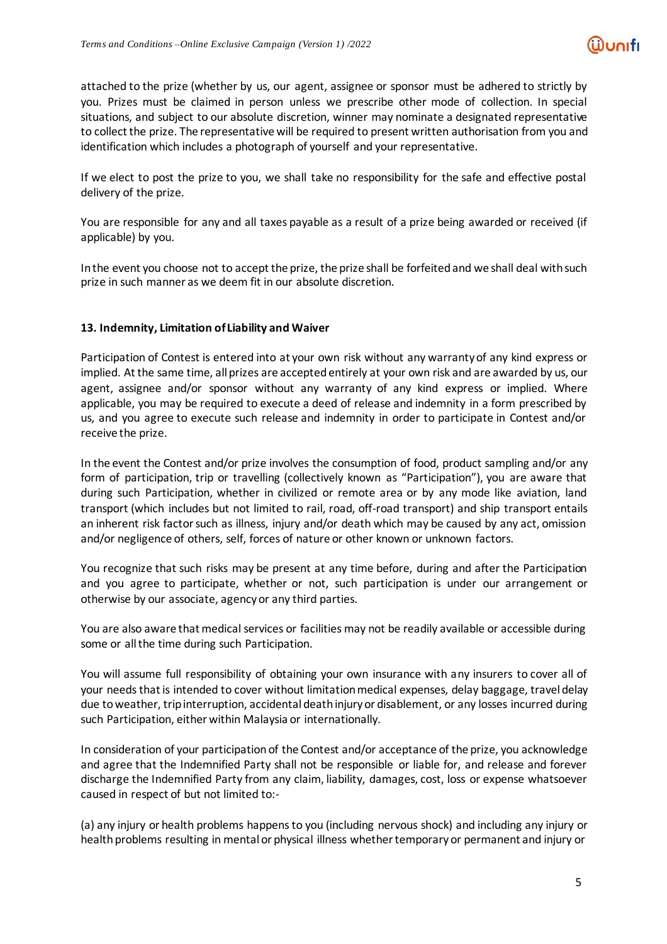attached to the prize (whether by us, our agent, assignee or sponsor must be adhered to strictly by you. Prizes must be claimed in person unless we prescribe other mode of collection. In special situations, and subject to our absolute discretion, winner may nominate a designated representative to collect the prize. The representative will be required to present written authorisation from you and identification which includes a photograph of yourself and your representative.

If we elect to post the prize to you, we shall take no responsibility for the safe and effective postal delivery of the prize.

You are responsible for any and all taxes payable as a result of a prize being awarded or received (if applicable) by you.

Inthe event you choose not to accept the prize, the prize shall be forfeitedand we shall deal withsuch prize in such manner as we deem fit in our absolute discretion.

### **13. Indemnity, Limitation of Liability and Waiver**

Participation of Contest is entered into at your own risk without any warranty of any kind express or implied. At the same time, all prizes are accepted entirely at your own risk and are awarded by us, our agent, assignee and/or sponsor without any warranty of any kind express or implied. Where applicable, you may be required to execute a deed of release and indemnity in a form prescribed by us, and you agree to execute such release and indemnity in order to participate in Contest and/or receive the prize.

In the event the Contest and/or prize involves the consumption of food, product sampling and/or any form of participation, trip or travelling (collectively known as "Participation"), you are aware that during such Participation, whether in civilized or remote area or by any mode like aviation, land transport (which includes but not limited to rail, road, off-road transport) and ship transport entails an inherent risk factor such as illness, injury and/or death which may be caused by any act, omission and/or negligence of others, self, forces of nature or other known or unknown factors.

You recognize that such risks may be present at any time before, during and after the Participation and you agree to participate, whether or not, such participation is under our arrangement or otherwise by our associate, agencyor any third parties.

You are also aware that medical services or facilities may not be readily available or accessible during some or all the time during such Participation.

You will assume full responsibility of obtaining your own insurance with any insurers to cover all of your needs that is intended to cover without limitation medical expenses, delay baggage, travel delay due toweather, tripinterruption, accidental deathinjuryor disablement, or any losses incurred during such Participation, either within Malaysia or internationally.

In consideration of your participation of the Contest and/or acceptance of the prize, you acknowledge and agree that the Indemnified Party shall not be responsible or liable for, and release and forever discharge the Indemnified Party from any claim, liability, damages, cost, loss or expense whatsoever caused in respect of but not limited to:-

(a) any injury or health problems happensto you (including nervous shock) and including any injury or health problems resulting in mental or physical illness whether temporary or permanent and injury or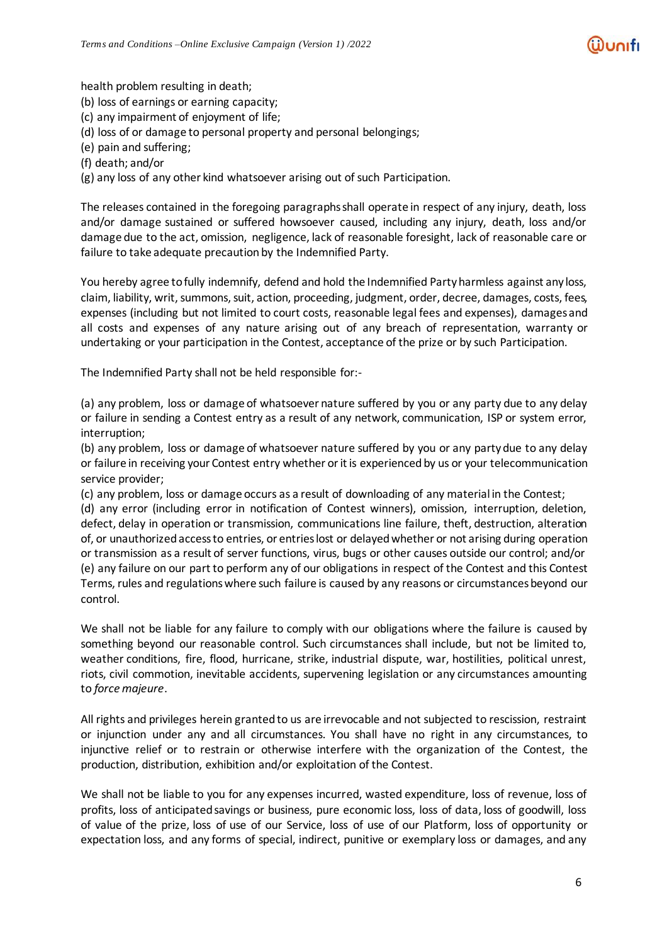health problem resulting in death;

(b) loss of earnings or earning capacity;

(c) any impairment of enjoyment of life;

(d) loss of or damage to personal property and personal belongings;

(e) pain and suffering;

(f) death; and/or

(g) any loss of any other kind whatsoever arising out of such Participation.

The releases contained in the foregoing paragraphs shall operate in respect of any injury, death, loss and/or damage sustained or suffered howsoever caused, including any injury, death, loss and/or damage due to the act, omission, negligence, lack of reasonable foresight, lack of reasonable care or failure to take adequate precaution by the Indemnified Party.

You hereby agree tofully indemnify, defend and hold the Indemnified Partyharmless against any loss, claim, liability, writ, summons, suit, action, proceeding, judgment, order, decree, damages, costs, fees, expenses (including but not limited to court costs, reasonable legal fees and expenses), damages and all costs and expenses of any nature arising out of any breach of representation, warranty or undertaking or your participation in the Contest, acceptance of the prize or by such Participation.

The Indemnified Party shall not be held responsible for:-

(a) any problem, loss or damage of whatsoever nature suffered by you or any party due to any delay or failure in sending a Contest entry as a result of any network, communication, ISP or system error, interruption;

(b) any problem, loss or damage of whatsoever nature suffered by you or any party due to any delay or failure in receiving your Contest entry whether orit is experiencedby us or your telecommunication service provider;

(c) any problem, loss or damage occurs as a result of downloading of any material in the Contest;

(d) any error (including error in notification of Contest winners), omission, interruption, deletion, defect, delay in operation or transmission, communications line failure, theft, destruction, alteration of, or unauthorizedaccessto entries, or entrieslost or delayedwhether or not arising during operation or transmission as a result of server functions, virus, bugs or other causes outside our control; and/or (e) any failure on our part to perform any of our obligations in respect of the Contest and this Contest Terms, rules and regulationswhere such failure is caused by any reasons or circumstancesbeyond our control.

We shall not be liable for any failure to comply with our obligations where the failure is caused by something beyond our reasonable control. Such circumstances shall include, but not be limited to, weather conditions, fire, flood, hurricane, strike, industrial dispute, war, hostilities, political unrest, riots, civil commotion, inevitable accidents, supervening legislation or any circumstances amounting to *force majeure*.

All rights and privileges herein granted to us are irrevocable and not subjected to rescission, restraint or injunction under any and all circumstances. You shall have no right in any circumstances, to injunctive relief or to restrain or otherwise interfere with the organization of the Contest, the production, distribution, exhibition and/or exploitation of the Contest.

We shall not be liable to you for any expenses incurred, wasted expenditure, loss of revenue, loss of profits, loss of anticipated savings or business, pure economic loss, loss of data, loss of goodwill, loss of value of the prize, loss of use of our Service, loss of use of our Platform, loss of opportunity or expectation loss, and any forms of special, indirect, punitive or exemplary loss or damages, and any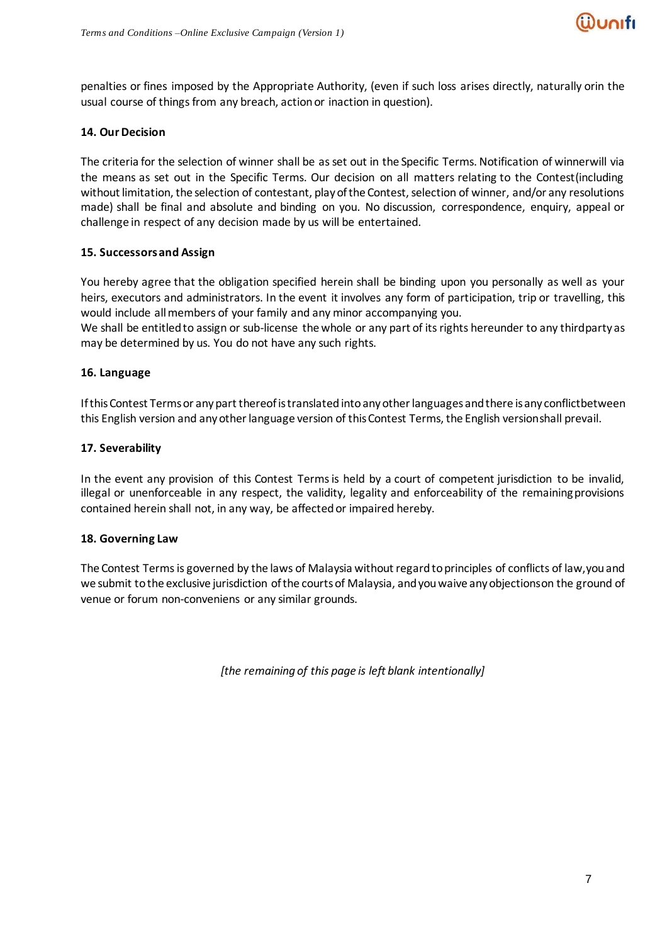

penalties or fines imposed by the Appropriate Authority, (even if such loss arises directly, naturally orin the usual course of things from any breach, action or inaction in question).

#### **14. OurDecision**

The criteria for the selection of winner shall be asset out in the Specific Terms. Notification of winnerwill via the means as set out in the Specific Terms. Our decision on all matters relating to the Contest(including without limitation, the selection of contestant, play of the Contest, selection of winner, and/or any resolutions made) shall be final and absolute and binding on you. No discussion, correspondence, enquiry, appeal or challenge in respect of any decision made by us will be entertained.

### **15. Successorsand Assign**

You hereby agree that the obligation specified herein shall be binding upon you personally as well as your heirs, executors and administrators. In the event it involves any form of participation, trip or travelling, this would include allmembers of your family and any minor accompanying you.

We shall be entitled to assign or sub-license the whole or any part of its rights hereunder to any thirdparty as may be determined by us. You do not have any such rights.

### **16. Language**

If this Contest Terms or any part thereof is translated into any other languages and there is any conflictbetween this English version and any other language version of this Contest Terms, the English versionshall prevail.

#### **17. Severability**

In the event any provision of this Contest Terms is held by a court of competent jurisdiction to be invalid, illegal or unenforceable in any respect, the validity, legality and enforceability of the remainingprovisions contained herein shall not, in any way, be affected or impaired hereby.

#### **18. Governing Law**

The Contest Terms is governed by the laws of Malaysia without regard to principles of conflicts of law, you and we submit tothe exclusive jurisdiction ofthe courtsof Malaysia, andyouwaive anyobjectionson the ground of venue or forum non-conveniens or any similar grounds.

*[the remaining of this page is left blank intentionally]*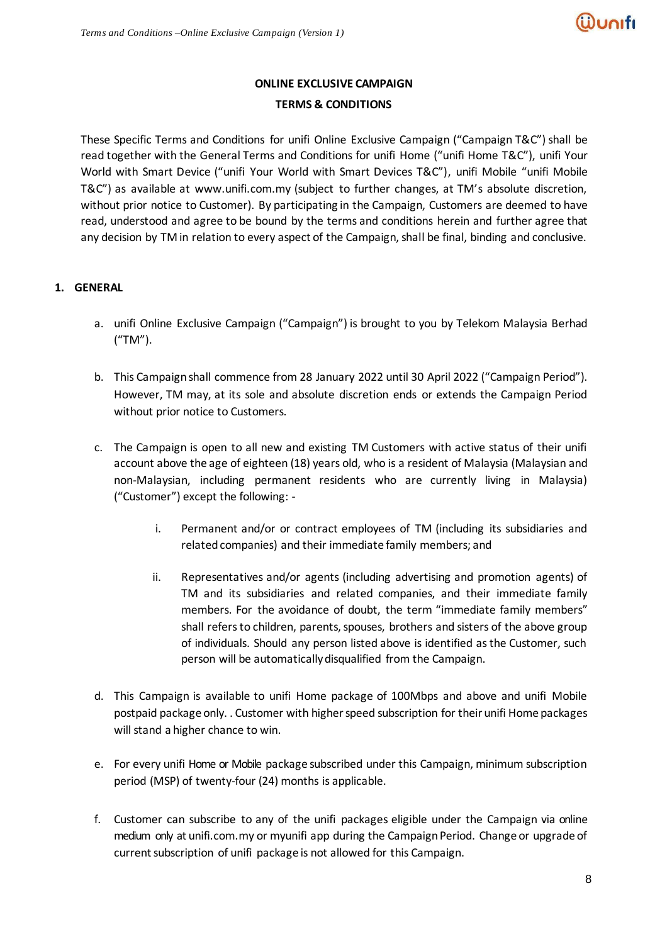# **ONLINE EXCLUSIVE CAMPAIGN TERMS & CONDITIONS**

These Specific Terms and Conditions for unifi Online Exclusive Campaign ("Campaign T&C") shall be read together with the General Terms and Conditions for unifi Home ("unifi Home T&C"), unifi Your World with Smart Device ("unifi Your World with Smart Devices T&C"), unifi Mobile "unifi Mobile T&C") as available at [www.unifi.com.my](http://www.unifi.com.my/) (subject to further changes, at TM's absolute discretion, without prior notice to Customer). By participating in the Campaign, Customers are deemed to have read, understood and agree to be bound by the terms and conditions herein and further agree that any decision by TM in relation to every aspect of the Campaign, shall be final, binding and conclusive.

# **1. GENERAL**

- a. unifi Online Exclusive Campaign ("Campaign") is brought to you by Telekom Malaysia Berhad ("TM").
- b. This Campaign shall commence from 28 January 2022 until 30 April 2022 ("Campaign Period"). However, TM may, at its sole and absolute discretion ends or extends the Campaign Period without prior notice to Customers.
- c. The Campaign is open to all new and existing TM Customers with active status of their unifi account above the age of eighteen (18) years old, who is a resident of Malaysia (Malaysian and non-Malaysian, including permanent residents who are currently living in Malaysia) ("Customer") except the following:
	- i. Permanent and/or or contract employees of TM (including its subsidiaries and related companies) and their immediate family members; and
	- ii. Representatives and/or agents (including advertising and promotion agents) of TM and its subsidiaries and related companies, and their immediate family members. For the avoidance of doubt, the term "immediate family members" shall refers to children, parents, spouses, brothers and sisters of the above group of individuals. Should any person listed above is identified as the Customer, such person will be automatically disqualified from the Campaign.
- d. This Campaign is available to unifi Home package of 100Mbps and above and unifi Mobile postpaid package only. . Customer with higher speed subscription for their unifi Home packages will stand a higher chance to win.
- e. For every unifi Home or Mobile package subscribed under this Campaign, minimum subscription period (MSP) of twenty-four (24) months is applicable.
- f. Customer can subscribe to any of the unifi packages eligible under the Campaign via online medium only at unifi.com.my or myunifi app during the Campaign Period. Change or upgrade of current subscription of unifi package is not allowed for this Campaign.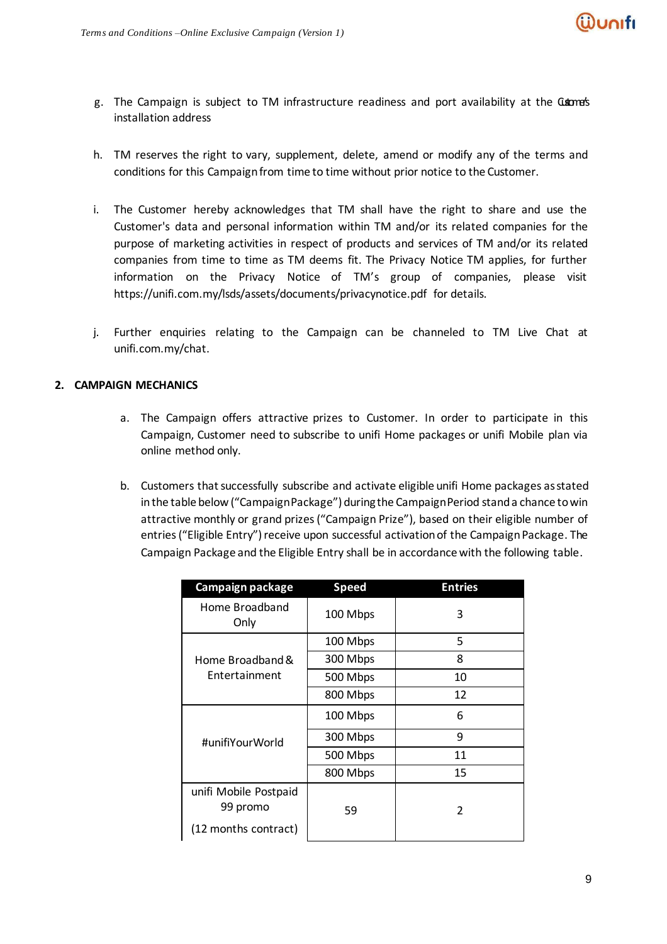

- g. The Campaign is subject to TM infrastructure readiness and port availability at the Cuore's installation address
- h. TM reserves the right to vary, supplement, delete, amend or modify any of the terms and conditions for this Campaignfrom time to time without prior notice to the Customer.
- i. The Customer hereby acknowledges that TM shall have the right to share and use the Customer's data and personal information within TM and/or its related companies for the purpose of marketing activities in respect of products and services of TM and/or its related companies from time to time as TM deems fit. The Privacy Notice TM applies, for further information on the Privacy Notice of TM's group of companies, please visit https://unifi.com.my/lsds/assets/documents/privacynotice.pdf for details.
- j. Further enquiries relating to the Campaign can be channeled to TM Live Chat at unifi.com.my/chat.

### **2. CAMPAIGN MECHANICS**

- a. The Campaign offers attractive prizes to Customer. In order to participate in this Campaign, Customer need to subscribe to unifi Home packages or unifi Mobile plan via online method only.
- b. Customers that successfully subscribe and activate eligible unifi Home packages asstated in the table below ("Campaign Package") during the Campaign Period stand a chance to win attractive monthly or grand prizes ("Campaign Prize"), based on their eligible number of entries ("Eligible Entry") receive upon successful activation of the Campaign Package. The Campaign Package and the Eligible Entry shall be in accordance with the following table.

| Campaign package                                          | <b>Speed</b> | <b>Entries</b>           |  |
|-----------------------------------------------------------|--------------|--------------------------|--|
| Home Broadband<br>Only                                    | 100 Mbps     | 3                        |  |
|                                                           | 100 Mbps     | 5                        |  |
| Home Broadband &                                          | 300 Mbps     | 8                        |  |
| Entertainment                                             | 500 Mbps     | 10                       |  |
|                                                           | 800 Mbps     | 12                       |  |
|                                                           | 100 Mbps     | 6                        |  |
| #unifiYourWorld                                           | 300 Mbps     | 9                        |  |
|                                                           | 500 Mbps     | 11                       |  |
|                                                           | 800 Mbps     | 15                       |  |
| unifi Mobile Postpaid<br>99 promo<br>(12 months contract) | 59           | $\overline{\mathcal{L}}$ |  |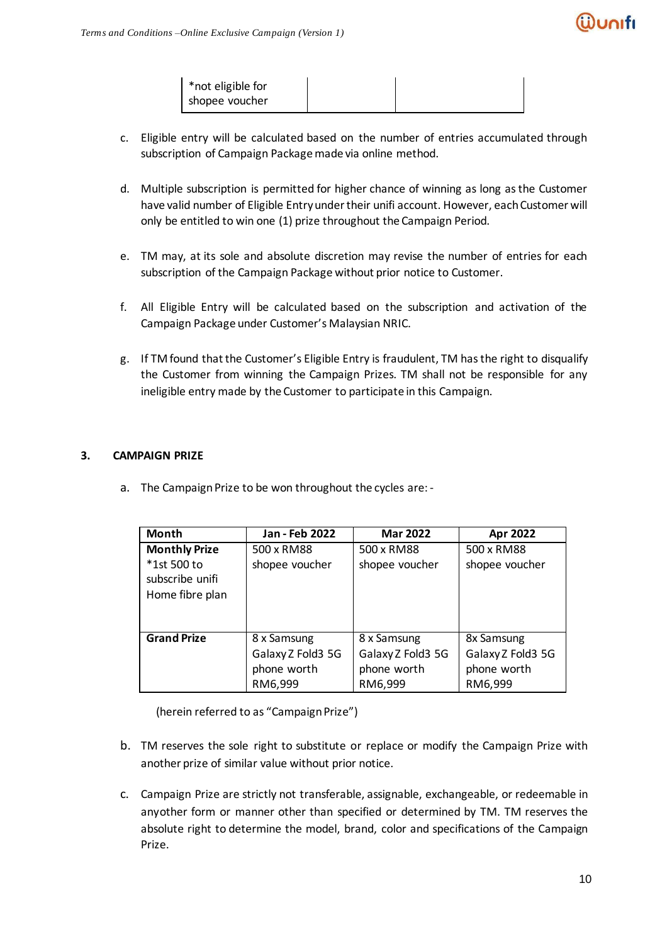

| *not eligible for<br>shopee voucher |  |
|-------------------------------------|--|
|                                     |  |

- c. Eligible entry will be calculated based on the number of entries accumulated through subscription of Campaign Package made via online method.
- d. Multiple subscription is permitted for higher chance of winning as long as the Customer have valid number of Eligible Entry under their unifi account. However, each Customer will only be entitled to win one (1) prize throughout the Campaign Period.
- e. TM may, at its sole and absolute discretion may revise the number of entries for each subscription of the Campaign Package without prior notice to Customer.
- f. All Eligible Entry will be calculated based on the subscription and activation of the Campaign Package under Customer's Malaysian NRIC.
- g. If TM found that the Customer's Eligible Entry is fraudulent, TM has the right to disqualify the Customer from winning the Campaign Prizes. TM shall not be responsible for any ineligible entry made by the Customer to participate in this Campaign.

# **3. CAMPAIGN PRIZE**

a. The Campaign Prize to be won throughout the cycles are: -

| Month                                                                     | Jan - Feb 2022               | <b>Mar 2022</b>              | Apr 2022                     |
|---------------------------------------------------------------------------|------------------------------|------------------------------|------------------------------|
| <b>Monthly Prize</b><br>*1st 500 to<br>subscribe unifi<br>Home fibre plan | 500 x RM88<br>shopee voucher | 500 x RM88<br>shopee voucher | 500 x RM88<br>shopee voucher |
|                                                                           |                              |                              |                              |
| <b>Grand Prize</b>                                                        | 8 x Samsung                  | 8 x Samsung                  | 8x Samsung                   |
|                                                                           | Galaxy Z Fold3 5G            | Galaxy Z Fold3 5G            | Galaxy Z Fold3 5G            |
|                                                                           | phone worth                  | phone worth                  | phone worth                  |
|                                                                           | RM6,999                      | RM6,999                      | RM6,999                      |

(herein referred to as "Campaign Prize")

- b. TM reserves the sole right to substitute or replace or modify the Campaign Prize with another prize of similar value without prior notice.
- c. Campaign Prize are strictly not transferable, assignable, exchangeable, or redeemable in any other form or manner other than specified or determined by TM. TM reserves the absolute right to determine the model, brand, color and specifications of the Campaign Prize.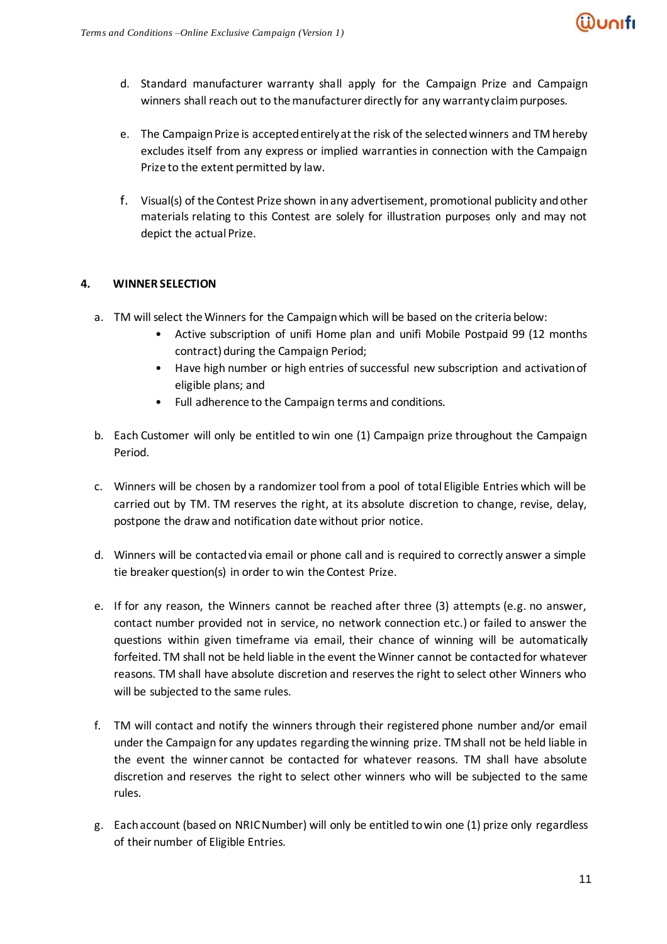

- d. Standard manufacturer warranty shall apply for the Campaign Prize and Campaign winners shall reach out to the manufacturer directly for any warranty claim purposes.
- e. The Campaign Prize is accepted entirely at the risk of the selected winners and TM hereby excludes itself from any express or implied warranties in connection with the Campaign Prize to the extent permitted by law.
- f. Visual(s) of the Contest Prize shown inany advertisement, promotional publicity andother materials relating to this Contest are solely for illustration purposes only and may not depict the actual Prize.

# **4. WINNER SELECTION**

- a. TM will select the Winners for the Campaign which will be based on the criteria below:
	- Active subscription of unifi Home plan and unifi Mobile Postpaid 99 (12 months contract) during the Campaign Period;
	- Have high number or high entries of successful new subscription and activation of eligible plans; and
	- Full adherence to the Campaign terms and conditions.
- b. Each Customer will only be entitled to win one (1) Campaign prize throughout the Campaign Period.
- c. Winners will be chosen by a randomizer tool from a pool of total Eligible Entries which will be carried out by TM. TM reserves the right, at its absolute discretion to change, revise, delay, postpone the draw and notification date without prior notice.
- d. Winners will be contacted via email or phone call and is required to correctly answer a simple tie breaker question(s) in order to win the Contest Prize.
- e. If for any reason, the Winners cannot be reached after three (3) attempts (e.g. no answer, contact number provided not in service, no network connection etc.) or failed to answer the questions within given timeframe via email, their chance of winning will be automatically forfeited. TM shall not be held liable in the event the Winner cannot be contacted for whatever reasons. TM shall have absolute discretion and reserves the right to select other Winners who will be subjected to the same rules.
- f. TM will contact and notify the winners through their registered phone number and/or email under the Campaign for any updates regarding the winning prize. TM shall not be held liable in the event the winner cannot be contacted for whatever reasons. TM shall have absolute discretion and reserves the right to select other winners who will be subjected to the same rules.
- g. Each account (based on NRIC Number) will only be entitled to win one (1) prize only regardless of their number of Eligible Entries.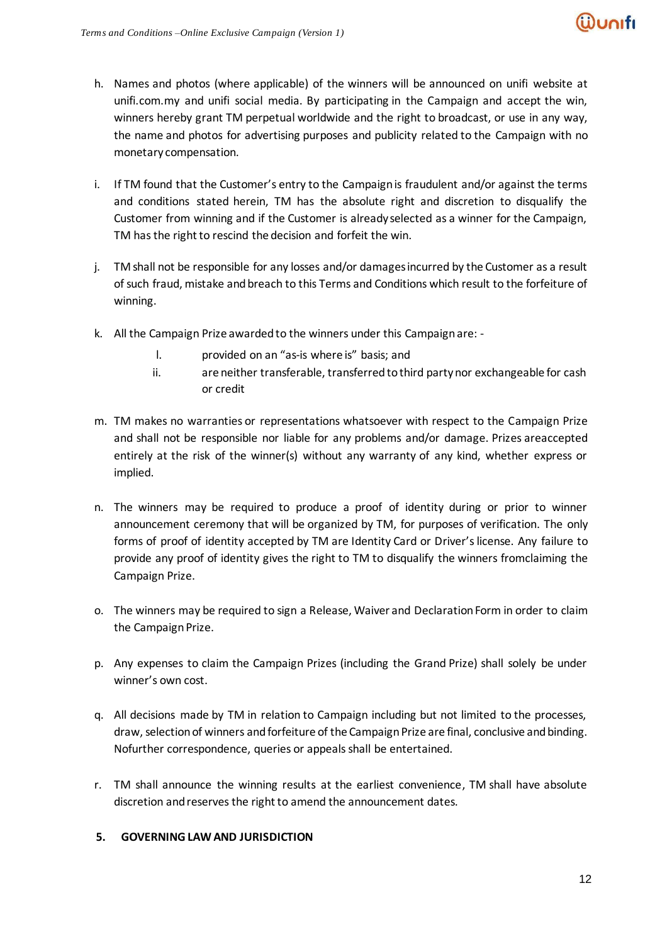- h. Names and photos (where applicable) of the winners will be announced on unifi website at unifi.com.my and unifi social media. By participating in the Campaign and accept the win, winners hereby grant TM perpetual worldwide and the right to broadcast, or use in any way, the name and photos for advertising purposes and publicity related to the Campaign with no monetary compensation.
- i. If TM found that the Customer's entry to the Campaign is fraudulent and/or against the terms and conditions stated herein, TM has the absolute right and discretion to disqualify the Customer from winning and if the Customer is already selected as a winner for the Campaign, TM has the right to rescind the decision and forfeit the win.
- j. TM shall not be responsible for any losses and/or damages incurred by the Customer as a result of such fraud, mistake and breach to this Terms and Conditions which result to the forfeiture of winning.
- k. All the Campaign Prize awarded to the winners under this Campaignare:
	- l. provided on an "as-is where is" basis; and
	- ii. are neither transferable, transferred to third party nor exchangeable for cash or credit
- m. TM makes no warranties or representations whatsoever with respect to the Campaign Prize and shall not be responsible nor liable for any problems and/or damage. Prizes areaccepted entirely at the risk of the winner(s) without any warranty of any kind, whether express or implied.
- n. The winners may be required to produce a proof of identity during or prior to winner announcement ceremony that will be organized by TM, for purposes of verification. The only forms of proof of identity accepted by TM are Identity Card or Driver's license. Any failure to provide any proof of identity gives the right to TM to disqualify the winners fromclaiming the Campaign Prize.
- o. The winners may be required to sign a Release, Waiver and Declaration Form in order to claim the Campaign Prize.
- p. Any expenses to claim the Campaign Prizes (including the Grand Prize) shall solely be under winner's own cost.
- q. All decisions made by TM in relation to Campaign including but not limited to the processes, draw, selection of winners and forfeiture of the Campaign Prize are final, conclusive and binding. Nofurther correspondence, queries or appeals shall be entertained.
- r. TM shall announce the winning results at the earliest convenience, TM shall have absolute discretion and reserves the right to amend the announcement dates.

# **5. GOVERNING LAW AND JURISDICTION**